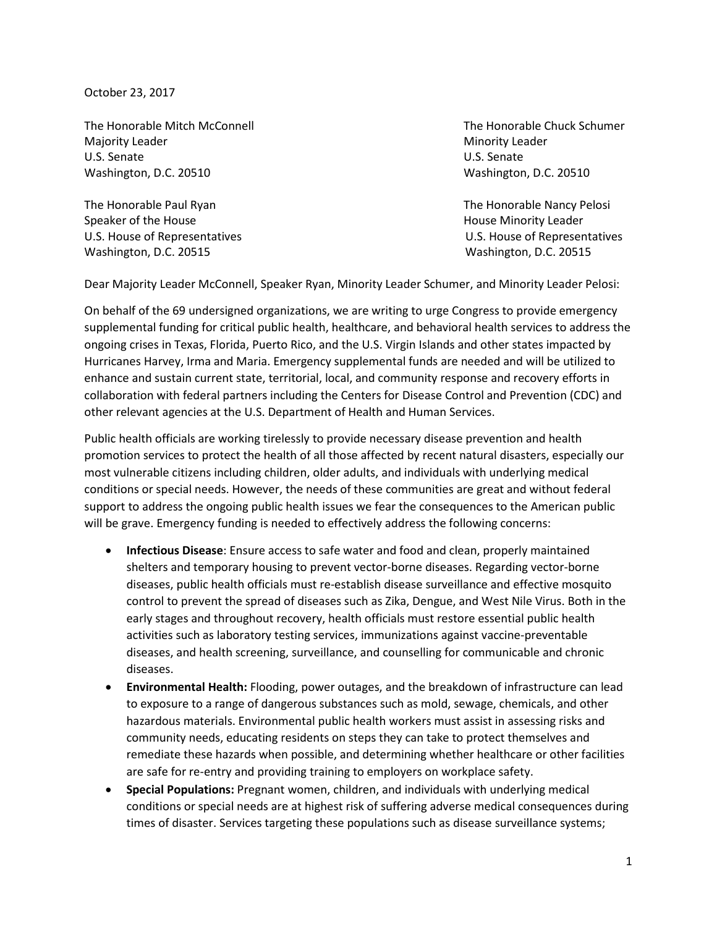October 23, 2017

The Honorable Mitch McConnell The Honorable Chuck Schumer Majority Leader National According to the Minority Leader Minority Leader U.S. Senate U.S. Senate Washington, D.C. 20510 Washington, D.C. 20510

The Honorable Paul Ryan The Honorable Nancy Pelosi Speaker of the House **House** Assessment Assessment Assessment Assessment Assessment Assessment Assessment Assessment Assessment Assessment Assessment Assessment Assessment Assessment Assessment Assessment Assessment Assess U.S. House of Representatives U.S. House of Representatives Washington, D.C. 20515 Washington, D.C. 20515

Dear Majority Leader McConnell, Speaker Ryan, Minority Leader Schumer, and Minority Leader Pelosi:

On behalf of the 69 undersigned organizations, we are writing to urge Congress to provide emergency supplemental funding for critical public health, healthcare, and behavioral health services to address the ongoing crises in Texas, Florida, Puerto Rico, and the U.S. Virgin Islands and other states impacted by Hurricanes Harvey, Irma and Maria. Emergency supplemental funds are needed and will be utilized to enhance and sustain current state, territorial, local, and community response and recovery efforts in collaboration with federal partners including the Centers for Disease Control and Prevention (CDC) and other relevant agencies at the U.S. Department of Health and Human Services.

Public health officials are working tirelessly to provide necessary disease prevention and health promotion services to protect the health of all those affected by recent natural disasters, especially our most vulnerable citizens including children, older adults, and individuals with underlying medical conditions or special needs. However, the needs of these communities are great and without federal support to address the ongoing public health issues we fear the consequences to the American public will be grave. Emergency funding is needed to effectively address the following concerns:

- **Infectious Disease**: Ensure access to safe water and food and clean, properly maintained shelters and temporary housing to prevent vector-borne diseases. Regarding vector-borne diseases, public health officials must re-establish disease surveillance and effective mosquito control to prevent the spread of diseases such as Zika, Dengue, and West Nile Virus. Both in the early stages and throughout recovery, health officials must restore essential public health activities such as laboratory testing services, immunizations against vaccine-preventable diseases, and health screening, surveillance, and counselling for communicable and chronic diseases.
- **Environmental Health:** Flooding, power outages, and the breakdown of infrastructure can lead to exposure to a range of dangerous substances such as mold, sewage, chemicals, and other hazardous materials. Environmental public health workers must assist in assessing risks and community needs, educating residents on steps they can take to protect themselves and remediate these hazards when possible, and determining whether healthcare or other facilities are safe for re-entry and providing training to employers on workplace safety.
- **Special Populations:** Pregnant women, children, and individuals with underlying medical conditions or special needs are at highest risk of suffering adverse medical consequences during times of disaster. Services targeting these populations such as disease surveillance systems;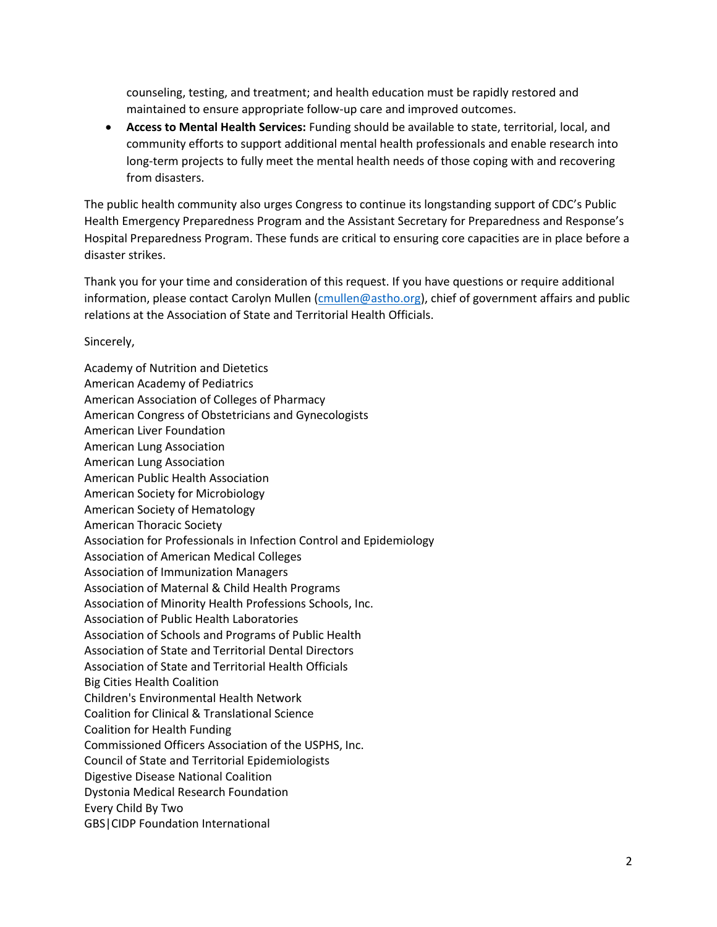counseling, testing, and treatment; and health education must be rapidly restored and maintained to ensure appropriate follow-up care and improved outcomes.

• **Access to Mental Health Services:** Funding should be available to state, territorial, local, and community efforts to support additional mental health professionals and enable research into long-term projects to fully meet the mental health needs of those coping with and recovering from disasters.

The public health community also urges Congress to continue its longstanding support of CDC's Public Health Emergency Preparedness Program and the Assistant Secretary for Preparedness and Response's Hospital Preparedness Program. These funds are critical to ensuring core capacities are in place before a disaster strikes.

Thank you for your time and consideration of this request. If you have questions or require additional information, please contact Carolyn Mullen [\(cmullen@astho.org\)](mailto:cmullen@astho.org), chief of government affairs and public relations at the Association of State and Territorial Health Officials.

Sincerely,

Academy of Nutrition and Dietetics American Academy of Pediatrics American Association of Colleges of Pharmacy American Congress of Obstetricians and Gynecologists American Liver Foundation American Lung Association American Lung Association American Public Health Association American Society for Microbiology American Society of Hematology American Thoracic Society Association for Professionals in Infection Control and Epidemiology Association of American Medical Colleges Association of Immunization Managers Association of Maternal & Child Health Programs Association of Minority Health Professions Schools, Inc. Association of Public Health Laboratories Association of Schools and Programs of Public Health Association of State and Territorial Dental Directors Association of State and Territorial Health Officials Big Cities Health Coalition Children's Environmental Health Network Coalition for Clinical & Translational Science Coalition for Health Funding Commissioned Officers Association of the USPHS, Inc. Council of State and Territorial Epidemiologists Digestive Disease National Coalition Dystonia Medical Research Foundation Every Child By Two GBS|CIDP Foundation International